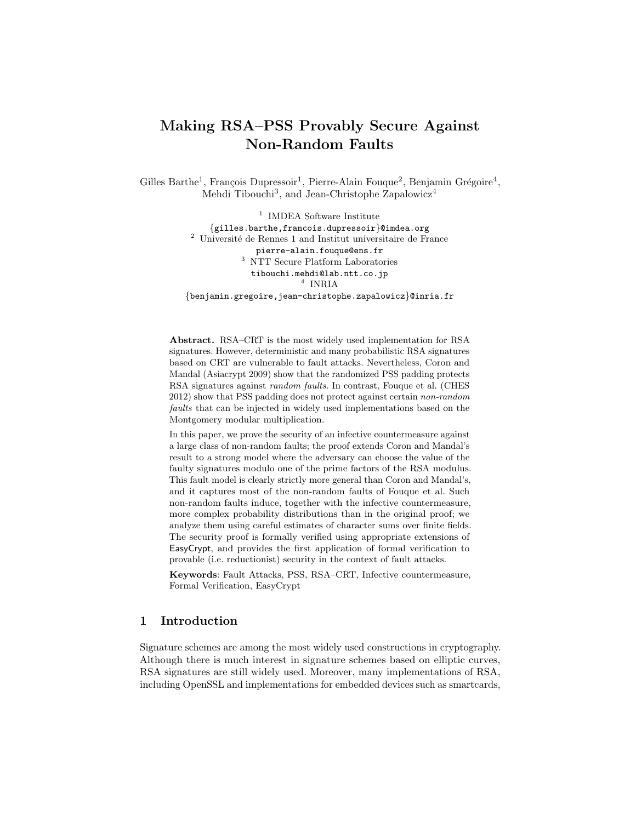# Making RSA–PSS Provably Secure Against Non-Random Faults

Gilles Barthe<sup>1</sup>, François Dupressoir<sup>1</sup>, Pierre-Alain Fouque<sup>2</sup>, Benjamin Grégoire<sup>4</sup>, Mehdi Tibouchi<sup>3</sup>, and Jean-Christophe Zapalowicz<sup>4</sup>

> <sup>1</sup> IMDEA Software Institute {gilles.barthe,francois.dupressoir}@imdea.org  $2$  Université de Rennes 1 and Institut universitaire de France pierre-alain.fouque@ens.fr <sup>3</sup> NTT Secure Platform Laboratories tibouchi.mehdi@lab.ntt.co.jp 4 INRIA {benjamin.gregoire,jean-christophe.zapalowicz}@inria.fr

Abstract. RSA–CRT is the most widely used implementation for RSA signatures. However, deterministic and many probabilistic RSA signatures based on CRT are vulnerable to fault attacks. Nevertheless, Coron and Mandal (Asiacrypt 2009) show that the randomized PSS padding protects RSA signatures against random faults. In contrast, Fouque et al. (CHES 2012) show that PSS padding does not protect against certain non-random faults that can be injected in widely used implementations based on the Montgomery modular multiplication.

In this paper, we prove the security of an infective countermeasure against a large class of non-random faults; the proof extends Coron and Mandal's result to a strong model where the adversary can choose the value of the faulty signatures modulo one of the prime factors of the RSA modulus. This fault model is clearly strictly more general than Coron and Mandal's, and it captures most of the non-random faults of Fouque et al. Such non-random faults induce, together with the infective countermeasure, more complex probability distributions than in the original proof; we analyze them using careful estimates of character sums over finite fields. The security proof is formally verified using appropriate extensions of EasyCrypt, and provides the first application of formal verification to provable (i.e. reductionist) security in the context of fault attacks.

Keywords: Fault Attacks, PSS, RSA–CRT, Infective countermeasure, Formal Verification, EasyCrypt

#### 1 Introduction

Signature schemes are among the most widely used constructions in cryptography. Although there is much interest in signature schemes based on elliptic curves, RSA signatures are still widely used. Moreover, many implementations of RSA, including OpenSSL and implementations for embedded devices such as smartcards,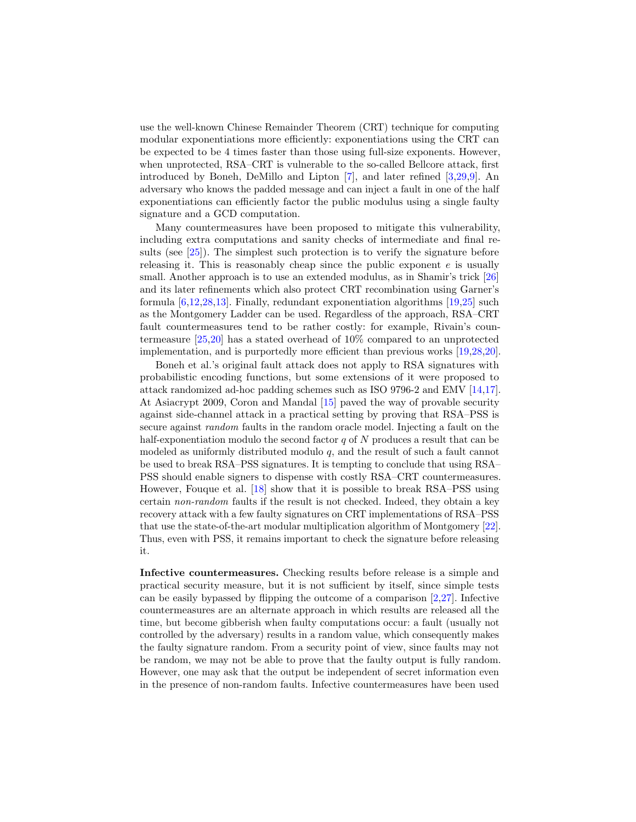use the well-known Chinese Remainder Theorem (CRT) technique for computing modular exponentiations more efficiently: exponentiations using the CRT can be expected to be 4 times faster than those using full-size exponents. However, when unprotected, RSA–CRT is vulnerable to the so-called Bellcore attack, first introduced by Boneh, DeMillo and Lipton [\[7\]](#page-15-0), and later refined [\[3,](#page-14-0)[29](#page-16-0)[,9\]](#page-15-1). An adversary who knows the padded message and can inject a fault in one of the half exponentiations can efficiently factor the public modulus using a single faulty signature and a GCD computation.

Many countermeasures have been proposed to mitigate this vulnerability, including extra computations and sanity checks of intermediate and final results (see [\[25\]](#page-16-1)). The simplest such protection is to verify the signature before releasing it. This is reasonably cheap since the public exponent  $e$  is usually small. Another approach is to use an extended modulus, as in Shamir's trick [\[26\]](#page-16-2) and its later refinements which also protect CRT recombination using Garner's formula [\[6](#page-15-2)[,12](#page-15-3)[,28,](#page-16-3)[13\]](#page-15-4). Finally, redundant exponentiation algorithms [\[19](#page-15-5)[,25\]](#page-16-1) such as the Montgomery Ladder can be used. Regardless of the approach, RSA–CRT fault countermeasures tend to be rather costly: for example, Rivain's countermeasure [\[25,](#page-16-1)[20\]](#page-15-6) has a stated overhead of 10% compared to an unprotected implementation, and is purportedly more efficient than previous works [\[19](#page-15-5)[,28](#page-16-3)[,20\]](#page-15-6).

Boneh et al.'s original fault attack does not apply to RSA signatures with probabilistic encoding functions, but some extensions of it were proposed to attack randomized ad-hoc padding schemes such as ISO 9796-2 and EMV [\[14](#page-15-7)[,17\]](#page-15-8). At Asiacrypt 2009, Coron and Mandal [\[15\]](#page-15-9) paved the way of provable security against side-channel attack in a practical setting by proving that RSA–PSS is secure against random faults in the random oracle model. Injecting a fault on the half-exponentiation modulo the second factor  $q$  of  $N$  produces a result that can be modeled as uniformly distributed modulo  $q$ , and the result of such a fault cannot be used to break RSA–PSS signatures. It is tempting to conclude that using RSA– PSS should enable signers to dispense with costly RSA–CRT countermeasures. However, Fouque et al. [\[18\]](#page-15-10) show that it is possible to break RSA–PSS using certain non-random faults if the result is not checked. Indeed, they obtain a key recovery attack with a few faulty signatures on CRT implementations of RSA–PSS that use the state-of-the-art modular multiplication algorithm of Montgomery [\[22\]](#page-15-11). Thus, even with PSS, it remains important to check the signature before releasing it.

Infective countermeasures. Checking results before release is a simple and practical security measure, but it is not sufficient by itself, since simple tests can be easily bypassed by flipping the outcome of a comparison [\[2,](#page-14-1)[27\]](#page-16-4). Infective countermeasures are an alternate approach in which results are released all the time, but become gibberish when faulty computations occur: a fault (usually not controlled by the adversary) results in a random value, which consequently makes the faulty signature random. From a security point of view, since faults may not be random, we may not be able to prove that the faulty output is fully random. However, one may ask that the output be independent of secret information even in the presence of non-random faults. Infective countermeasures have been used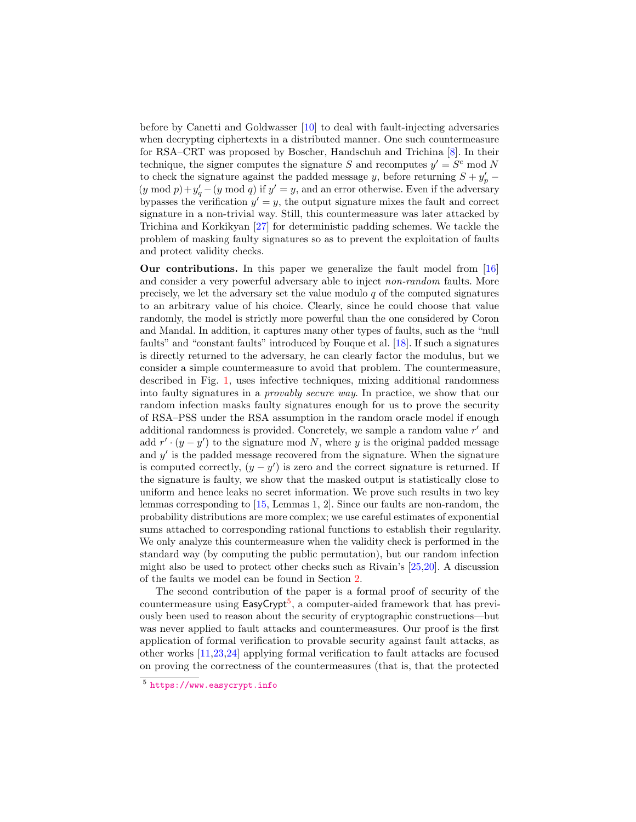before by Canetti and Goldwasser [\[10\]](#page-15-12) to deal with fault-injecting adversaries when decrypting ciphertexts in a distributed manner. One such countermeasure for RSA–CRT was proposed by Boscher, Handschuh and Trichina [\[8\]](#page-15-13). In their technique, the signer computes the signature S and recomputes  $y' = S^e$  mod N to check the signature against the padded message y, before returning  $S + y_p'$  $(y \mod p) + y'_q - (y \mod q)$  if  $y' = y$ , and an error otherwise. Even if the adversary bypasses the verification  $y' = y$ , the output signature mixes the fault and correct signature in a non-trivial way. Still, this countermeasure was later attacked by Trichina and Korkikyan [\[27\]](#page-16-4) for deterministic padding schemes. We tackle the problem of masking faulty signatures so as to prevent the exploitation of faults and protect validity checks.

Our contributions. In this paper we generalize the fault model from [\[16\]](#page-15-14) and consider a very powerful adversary able to inject non-random faults. More precisely, we let the adversary set the value modulo  $q$  of the computed signatures to an arbitrary value of his choice. Clearly, since he could choose that value randomly, the model is strictly more powerful than the one considered by Coron and Mandal. In addition, it captures many other types of faults, such as the "null faults" and "constant faults" introduced by Fouque et al. [\[18\]](#page-15-10). If such a signatures is directly returned to the adversary, he can clearly factor the modulus, but we consider a simple countermeasure to avoid that problem. The countermeasure, described in Fig. [1,](#page-3-0) uses infective techniques, mixing additional randomness into faulty signatures in a provably secure way. In practice, we show that our random infection masks faulty signatures enough for us to prove the security of RSA–PSS under the RSA assumption in the random oracle model if enough additional randomness is provided. Concretely, we sample a random value  $r'$  and add  $r' \cdot (y - y')$  to the signature mod N, where y is the original padded message and  $y'$  is the padded message recovered from the signature. When the signature is computed correctly,  $(y - y')$  is zero and the correct signature is returned. If the signature is faulty, we show that the masked output is statistically close to uniform and hence leaks no secret information. We prove such results in two key lemmas corresponding to [\[15,](#page-15-9) Lemmas 1, 2]. Since our faults are non-random, the probability distributions are more complex; we use careful estimates of exponential sums attached to corresponding rational functions to establish their regularity. We only analyze this countermeasure when the validity check is performed in the standard way (by computing the public permutation), but our random infection might also be used to protect other checks such as Rivain's [\[25,](#page-16-1)[20\]](#page-15-6). A discussion of the faults we model can be found in Section [2.](#page-6-0)

The second contribution of the paper is a formal proof of security of the countermeasure using  $\textsf{EasyCrypt}^5$  $\textsf{EasyCrypt}^5$ , a computer-aided framework that has previously been used to reason about the security of cryptographic constructions—but was never applied to fault attacks and countermeasures. Our proof is the first application of formal verification to provable security against fault attacks, as other works [\[11,](#page-15-15)[23,](#page-16-5)[24\]](#page-16-6) applying formal verification to fault attacks are focused on proving the correctness of the countermeasures (that is, that the protected

<span id="page-2-0"></span><sup>5</sup> <https://www.easycrypt.info>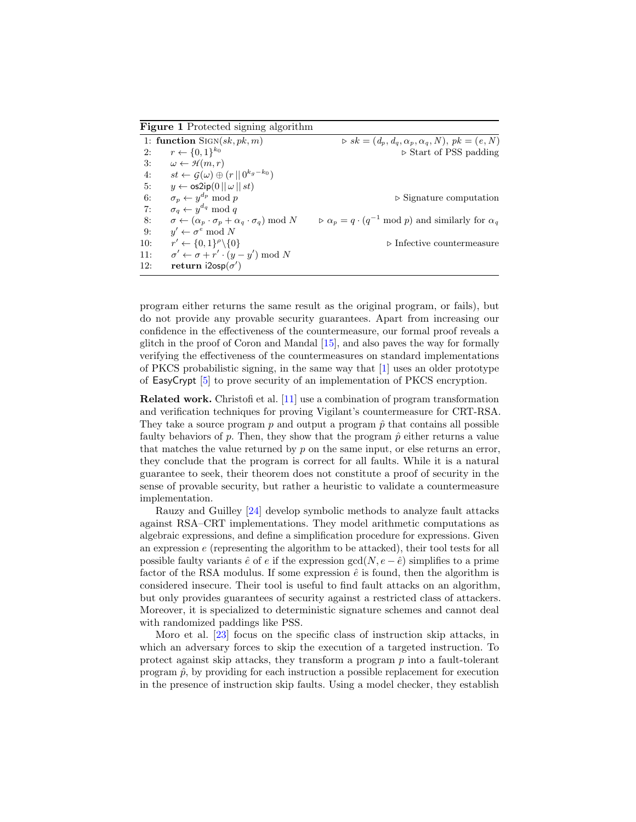<span id="page-3-0"></span>Figure 1 Protected signing algorithm 1: function SIGN(sk, pk, m)  $\triangleright$  sk =  $(d_p, d_q, \alpha_p, \alpha_q, N)$ , pk =  $(e, N)$ 2:  $r \leftarrow \{0, 1\}^{k_0}$  $\triangleright$  Start of PSS padding 3:  $\omega \leftarrow \mathcal{H}(m,r)$ 4:  $st \leftarrow \mathcal{G}(\omega) \oplus (r || 0^{k_g - k_0})$ 5:  $y \leftarrow \frac{\text{os2ip}(0 \mid \mid \omega \mid \mid st)}{s}$ 6:  $\sigma_p \leftarrow y$  $\triangleright$  Signature computation 7:  $\sigma_q \leftarrow y^{d_q} \mod q$ 8:  $\sigma \leftarrow (\alpha_p \cdot \sigma_p + \alpha_q \cdot \sigma_q) \text{ mod } N.$  $\rho \propto \alpha_p = q \cdot (q^{-1} \mod p)$  and similarly for  $\alpha_q$ 9: y  $v' \leftarrow \sigma^e \mod N$  $10:$  $\prime \leftarrow \{0,1\}^{\rho}$  $\triangleright$  Infective countermeasure  $11:$  $y' \leftarrow \sigma + r' \cdot (y - y') \bmod N$ 12: return  $i2osp(\sigma')$ 

program either returns the same result as the original program, or fails), but do not provide any provable security guarantees. Apart from increasing our confidence in the effectiveness of the countermeasure, our formal proof reveals a glitch in the proof of Coron and Mandal [\[15\]](#page-15-9), and also paves the way for formally verifying the effectiveness of the countermeasures on standard implementations of PKCS probabilistic signing, in the same way that [\[1\]](#page-14-2) uses an older prototype of EasyCrypt [\[5\]](#page-15-16) to prove security of an implementation of PKCS encryption.

Related work. Christofi et al. [\[11\]](#page-15-15) use a combination of program transformation and verification techniques for proving Vigilant's countermeasure for CRT-RSA. They take a source program p and output a program  $\hat{p}$  that contains all possible faulty behaviors of p. Then, they show that the program  $\hat{p}$  either returns a value that matches the value returned by p on the same input, or else returns an error, they conclude that the program is correct for all faults. While it is a natural guarantee to seek, their theorem does not constitute a proof of security in the sense of provable security, but rather a heuristic to validate a countermeasure implementation.

Rauzy and Guilley [\[24\]](#page-16-6) develop symbolic methods to analyze fault attacks against RSA–CRT implementations. They model arithmetic computations as algebraic expressions, and define a simplification procedure for expressions. Given an expression e (representing the algorithm to be attacked), their tool tests for all possible faulty variants  $\hat{e}$  of e if the expression gcd( $N, e - \hat{e}$ ) simplifies to a prime factor of the RSA modulus. If some expression  $\hat{e}$  is found, then the algorithm is considered insecure. Their tool is useful to find fault attacks on an algorithm, but only provides guarantees of security against a restricted class of attackers. Moreover, it is specialized to deterministic signature schemes and cannot deal with randomized paddings like PSS.

Moro et al. [\[23\]](#page-16-5) focus on the specific class of instruction skip attacks, in which an adversary forces to skip the execution of a targeted instruction. To protect against skip attacks, they transform a program p into a fault-tolerant program  $\hat{p}$ , by providing for each instruction a possible replacement for execution in the presence of instruction skip faults. Using a model checker, they establish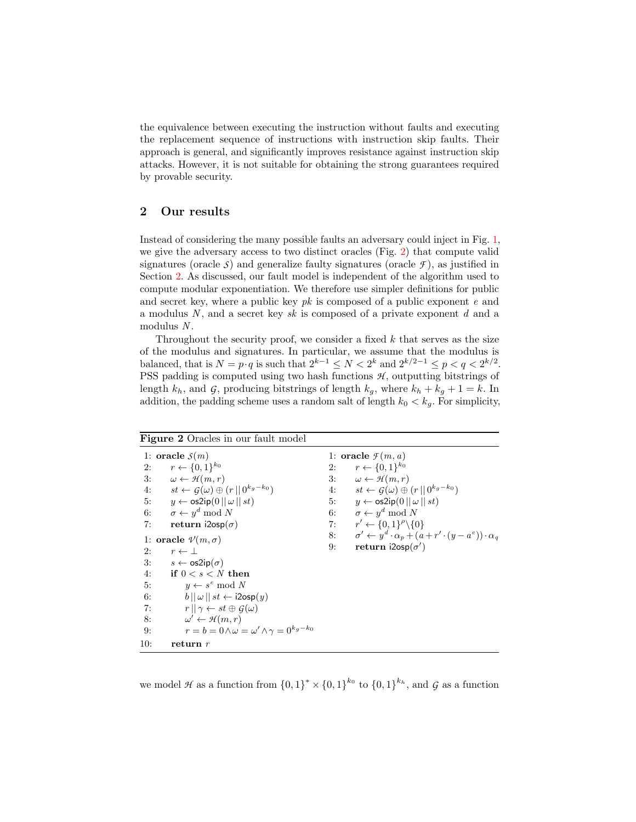the equivalence between executing the instruction without faults and executing the replacement sequence of instructions with instruction skip faults. Their approach is general, and significantly improves resistance against instruction skip attacks. However, it is not suitable for obtaining the strong guarantees required by provable security.

# 2 Our results

Instead of considering the many possible faults an adversary could inject in Fig. [1,](#page-3-0) we give the adversary access to two distinct oracles (Fig. [2\)](#page-4-0) that compute valid signatures (oracle  $\mathcal{S}$ ) and generalize faulty signatures (oracle  $\mathcal{F}$ ), as justified in Section [2.](#page-6-0) As discussed, our fault model is independent of the algorithm used to compute modular exponentiation. We therefore use simpler definitions for public and secret key, where a public key  $pk$  is composed of a public exponent  $e$  and a modulus  $N$ , and a secret key sk is composed of a private exponent  $d$  and a  $modulus N$ .

Throughout the security proof, we consider a fixed  $k$  that serves as the size of the modulus and signatures. In particular, we assume that the modulus is balanced, that is  $N = p \cdot q$  is such that  $2^{k-1} \le N < 2^k$  and  $2^{k/2-1} \le p < q < 2^{k/2}$ . PSS padding is computed using two hash functions  $H$ , outputting bitstrings of length  $k_h$ , and  $\mathcal{G}$ , producing bitstrings of length  $k_g$ , where  $k_h + k_g + 1 = k$ . In addition, the padding scheme uses a random salt of length  $k_0 < k_g$ . For simplicity,

<span id="page-4-0"></span>

| <b>Figure 2</b> Oracles in our fault model                                                                                                                                                                                                                                                                                                                                                                                                                                                                                                                                                                                                                                                                                                                                             |                                                                                                                                                                                                                                                                                                                                                                                                                                                      |
|----------------------------------------------------------------------------------------------------------------------------------------------------------------------------------------------------------------------------------------------------------------------------------------------------------------------------------------------------------------------------------------------------------------------------------------------------------------------------------------------------------------------------------------------------------------------------------------------------------------------------------------------------------------------------------------------------------------------------------------------------------------------------------------|------------------------------------------------------------------------------------------------------------------------------------------------------------------------------------------------------------------------------------------------------------------------------------------------------------------------------------------------------------------------------------------------------------------------------------------------------|
| 1: oracle $S(m)$<br>$r \leftarrow \{0, 1\}^{k_0}$<br>2:<br>3: $\omega \leftarrow \mathcal{H}(m,r)$<br>4: $st \leftarrow G(\omega) \oplus (r    0^{k_g - k_0})$<br>5: $y \leftarrow \text{os2ip}(0    \omega    st)$<br>6: $\sigma \leftarrow y^d \mod N$<br>7:<br>return $i2osp(\sigma)$<br>1: oracle $\mathcal{V}(m,\sigma)$<br>2:<br>$r \leftarrow \perp$<br>3: $s \leftarrow \text{os2ip}(\sigma)$<br>$\hspace{1em}\textbf{if}\hspace{1em} 0 < s < N \hspace{1em}\textbf{then}$<br>4:<br>5:<br>$y \leftarrow s^e \mod N$<br>6:<br>$  b   \omega   $ $st \leftarrow i2$ osp $(y)$<br>7:<br>$r  \gamma \leftarrow st \oplus G(\omega)$<br>$\omega' \leftarrow \mathcal{H}(m,r)$<br>8:<br>$r = b = 0 \wedge \omega = \omega' \wedge \gamma = 0^{k_g - k_0}$<br>9:<br>10:<br>return $r$ | 1: oracle $\mathcal{F}(m, a)$<br>$r \leftarrow \{0, 1\}^{k_0}$<br>2:<br>3: $\omega \leftarrow \mathcal{H}(m,r)$<br>4: $st \leftarrow G(\omega) \oplus (r    0^{k_g - k_0})$<br>5: $y \leftarrow \text{os2ip}(0    \omega    st)$<br>6: $\sigma \leftarrow y^d \mod N$<br>7: $r' \leftarrow \{0, 1\}^{\rho} \setminus \{0\}$<br>8: $\sigma' \leftarrow y^d \cdot \alpha_p + (a + r' \cdot (y - a^e)) \cdot \alpha_q$<br>return $i2osp(\sigma')$<br>9: |
|                                                                                                                                                                                                                                                                                                                                                                                                                                                                                                                                                                                                                                                                                                                                                                                        |                                                                                                                                                                                                                                                                                                                                                                                                                                                      |

we model *H* as a function from  $\{0,1\}^* \times \{0,1\}^{k_0}$  to  $\{0,1\}^{k_h}$ , and *G* as a function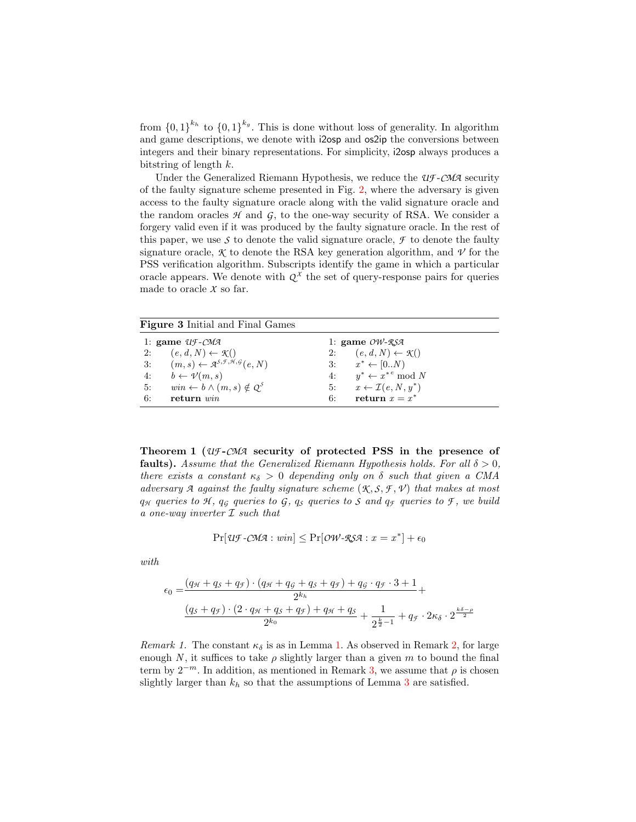from  $\{0,1\}^{k_h}$  to  $\{0,1\}^{k_g}$ . This is done without loss of generality. In algorithm and game descriptions, we denote with i2osp and os2ip the conversions between integers and their binary representations. For simplicity, i2osp always produces a bitstring of length  $k$ .

Under the Generalized Riemann Hypothesis, we reduce the *UF* -*CMA* security of the faulty signature scheme presented in Fig. [2,](#page-4-0) where the adversary is given access to the faulty signature oracle along with the valid signature oracle and the random oracles  $H$  and  $G$ , to the one-way security of RSA. We consider a forgery valid even if it was produced by the faulty signature oracle. In the rest of this paper, we use  $\mathcal S$  to denote the valid signature oracle,  $\mathcal F$  to denote the faulty signature oracle,  $\mathcal K$  to denote the RSA key generation algorithm, and  $\mathcal V$  for the PSS verification algorithm. Subscripts identify the game in which a particular oracle appears. We denote with  $Q^X$  the set of query-response pairs for queries made to oracle *X* so far.

Figure 3 Initial and Final Games

|    | 1: game $Uf$ -CMA                                                                             |    | 1: game $OW-RSA$                         |
|----|-----------------------------------------------------------------------------------------------|----|------------------------------------------|
|    | 2: $(e, d, N) \leftarrow \mathcal{K}()$                                                       |    | 2: $(e, d, N) \leftarrow \mathcal{K}()$  |
|    | 3: $(m, s) \leftarrow \mathcal{A}^{\mathcal{S}, \mathcal{F}, \mathcal{H}, \mathcal{G}}(e, N)$ |    | 3: $x^* \leftarrow [0N)$                 |
|    | 4: $b \leftarrow \mathcal{V}(m, s)$                                                           |    | 4: $u^* \leftarrow x^{*e} \mod N$        |
| 5: | $win \leftarrow b \wedge (m, s) \notin Q^{S}$                                                 |    | 5: $x \leftarrow \mathcal{I}(e, N, y^*)$ |
| 6: | return $win$                                                                                  | 6: | return $x = x^*$                         |

Theorem 1 (*UF* -*CMA* security of protected PSS in the presence of faults). Assume that the Generalized Riemann Hypothesis holds. For all  $\delta > 0$ , there exists a constant  $\kappa_{\delta} > 0$  depending only on  $\delta$  such that given a CMA adversary  $\mathcal A$  against the faulty signature scheme  $(\mathcal K, \mathcal S, \mathcal F, \mathcal V)$  that makes at most  $q_H$  queries to  $H$ ,  $q_G$  queries to  $G$ ,  $q_S$  queries to  $S$  and  $q_F$  queries to  $F$ , we build a one-way inverter  $I$  such that

$$
\Pr[\mathcal{U}\mathcal{F}\text{-}\mathcal{C}\mathcal{M}\mathcal{A}: \mathit{win}] \le \Pr[\mathit{OW}\text{-}\mathcal{R}\mathcal{S}\mathcal{A}: \mathit{x} = \mathit{x}^*] + \epsilon_0
$$

with

$$
\epsilon_0 = \frac{(q_{\mathcal{H}} + q_{\mathcal{S}} + q_{\mathcal{F}}) \cdot (q_{\mathcal{H}} + q_{\mathcal{G}} + q_{\mathcal{S}} + q_{\mathcal{F}}) + q_{\mathcal{G}} \cdot q_{\mathcal{F}} \cdot 3 + 1}{2^{k_h} + \frac{(q_{\mathcal{S}} + q_{\mathcal{F}}) \cdot (2 \cdot q_{\mathcal{H}} + q_{\mathcal{S}} + q_{\mathcal{F}}) + q_{\mathcal{H}} + q_{\mathcal{S}}}{2^{k_0}} + \frac{1}{2^{\frac{k}{2}-1}} + q_{\mathcal{F}} \cdot 2\kappa_{\delta} \cdot 2^{\frac{k\delta-\rho}{2}}}
$$

Remark [1.](#page-6-1) The constant  $\kappa_{\delta}$  is as in Lemma 1. As observed in Remark [2,](#page-9-0) for large enough N, it suffices to take  $\rho$  slightly larger than a given m to bound the final term by  $2^{-m}$ . In addition, as mentioned in Remark [3,](#page-9-1) we assume that  $\rho$  is chosen slightly larger than  $k_h$  so that the assumptions of Lemma [3](#page-9-2) are satisfied.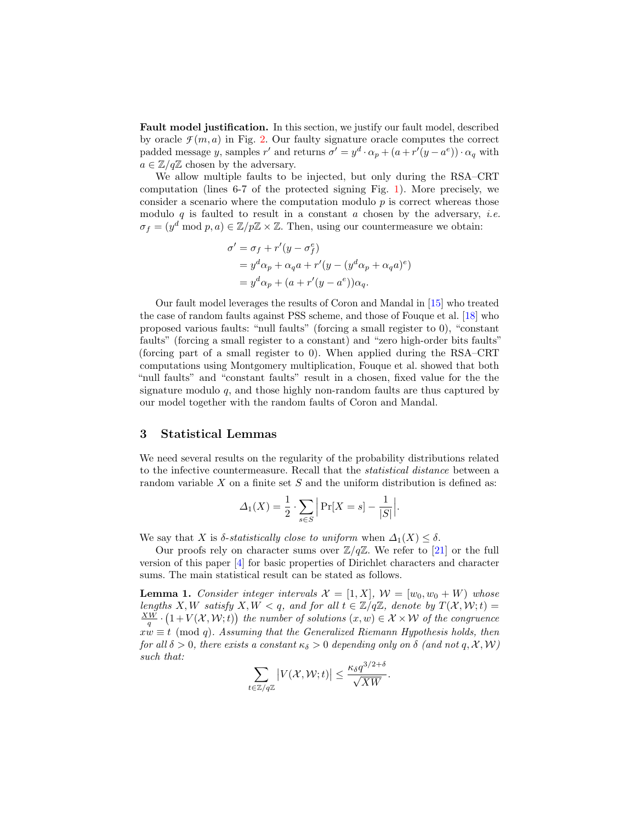<span id="page-6-0"></span>Fault model justification. In this section, we justify our fault model, described by oracle  $\mathcal{F}(m, a)$  in Fig. [2.](#page-4-0) Our faulty signature oracle computes the correct padded message y, samples r' and returns  $\sigma' = y^d \cdot \alpha_p + (a + r'(y - a^e)) \cdot \alpha_q$  with  $a \in \mathbb{Z}/q\mathbb{Z}$  chosen by the adversary.

We allow multiple faults to be injected, but only during the RSA–CRT computation (lines 6-7 of the protected signing Fig. [1\)](#page-3-0). More precisely, we consider a scenario where the computation modulo  $p$  is correct whereas those modulo q is faulted to result in a constant  $a$  chosen by the adversary, *i.e.*  $\sigma_f = (y^d \mod p, a) \in \mathbb{Z}/p\mathbb{Z} \times \mathbb{Z}$ . Then, using our countermeasure we obtain:

$$
\sigma' = \sigma_f + r'(y - \sigma_f^e)
$$
  
=  $y^d \alpha_p + \alpha_q a + r'(y - (y^d \alpha_p + \alpha_q a)^e)$   
=  $y^d \alpha_p + (a + r'(y - a^e)) \alpha_q$ .

Our fault model leverages the results of Coron and Mandal in [\[15\]](#page-15-9) who treated the case of random faults against PSS scheme, and those of Fouque et al. [\[18\]](#page-15-10) who proposed various faults: "null faults" (forcing a small register to 0), "constant faults" (forcing a small register to a constant) and "zero high-order bits faults" (forcing part of a small register to 0). When applied during the RSA–CRT computations using Montgomery multiplication, Fouque et al. showed that both "null faults" and "constant faults" result in a chosen, fixed value for the the signature modulo  $q$ , and those highly non-random faults are thus captured by our model together with the random faults of Coron and Mandal.

#### 3 Statistical Lemmas

We need several results on the regularity of the probability distributions related to the infective countermeasure. Recall that the statistical distance between a random variable  $X$  on a finite set  $S$  and the uniform distribution is defined as:

<span id="page-6-1"></span>
$$
\Delta_1(X) = \frac{1}{2} \cdot \sum_{s \in S} \left| \Pr[X = s] - \frac{1}{|S|} \right|.
$$

We say that X is  $\delta$ -statistically close to uniform when  $\Delta_1(X) \leq \delta$ .

Our proofs rely on character sums over  $\mathbb{Z}/q\mathbb{Z}$ . We refer to [\[21\]](#page-15-17) or the full version of this paper [\[4\]](#page-15-18) for basic properties of Dirichlet characters and character sums. The main statistical result can be stated as follows.

**Lemma 1.** Consider integer intervals  $\mathcal{X} = [1, X], \mathcal{W} = [w_0, w_0 + W]$  whose lengths X, W satisfy X, W < q, and for all  $t \in \mathbb{Z}/q\mathbb{Z}$ , denote by  $T(\mathcal{X}, \mathcal{W}; t) =$  $\frac{XW}{q} \cdot (1 + V(\mathcal{X}, \mathcal{W}; t))$  the number of solutions  $(x, w) \in \mathcal{X} \times \mathcal{W}$  of the congruence  $xw \equiv t \pmod{q}$ . Assuming that the Generalized Riemann Hypothesis holds, then for all  $\delta > 0$ , there exists a constant  $\kappa_{\delta} > 0$  depending only on  $\delta$  (and not q, X, W) such that:

$$
\sum_{t \in \mathbb{Z}/q\mathbb{Z}} \left| V(\mathcal{X}, \mathcal{W}; t) \right| \leq \frac{\kappa_{\delta} q^{3/2+\delta}}{\sqrt{XW}}.
$$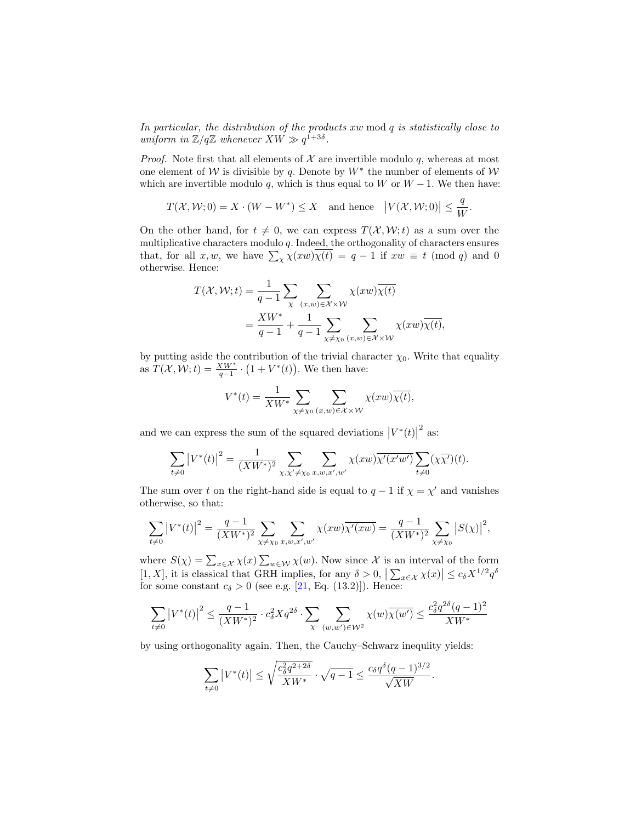In particular, the distribution of the products xw mod q is statistically close to uniform in  $\mathbb{Z}/q\mathbb{Z}$  whenever  $XW \gg q^{1+3\delta}$ .

*Proof.* Note first that all elements of  $X$  are invertible modulo  $q$ , whereas at most one element of W is divisible by q. Denote by  $W^*$  the number of elements of W which are invertible modulo q, which is thus equal to W or  $W - 1$ . We then have:

$$
T(\mathcal{X}, \mathcal{W}; 0) = X \cdot (W - W^*) \le X
$$
 and hence  $|V(\mathcal{X}, \mathcal{W}; 0)| \le \frac{q}{W}$ .

On the other hand, for  $t \neq 0$ , we can express  $T(\mathcal{X}, \mathcal{W};t)$  as a sum over the multiplicative characters modulo q. Indeed, the orthogonality of characters ensures that, for all  $x, w$ , we have  $\sum_{\chi} \chi(xw) \chi(t) = q - 1$  if  $xw \equiv t \pmod{q}$  and 0 otherwise. Hence:

$$
T(\mathcal{X}, \mathcal{W}; t) = \frac{1}{q-1} \sum_{\chi} \sum_{(x,w) \in \mathcal{X} \times \mathcal{W}} \chi(xw) \overline{\chi(t)}
$$
  
= 
$$
\frac{XW^*}{q-1} + \frac{1}{q-1} \sum_{\chi \neq \chi_0} \sum_{(x,w) \in \mathcal{X} \times \mathcal{W}} \chi(xw) \overline{\chi(t)},
$$

by putting aside the contribution of the trivial character  $\chi_0$ . Write that equality as  $T(\mathcal{X}, \mathcal{W}; t) = \frac{X\mathcal{W}^*}{q-1} \cdot (1 + V^*(t)).$  We then have:

$$
V^*(t) = \frac{1}{XW^*} \sum_{\chi \neq \chi_0} \sum_{(x,w) \in \mathcal{X} \times \mathcal{W}} \chi(xw) \overline{\chi(t)},
$$

and we can express the sum of the squared deviations  $|V^*(t)|$  $2$  as:

$$
\sum_{t \neq 0} |V^*(t)|^2 = \frac{1}{(XW^*)^2} \sum_{\chi, \chi' \neq \chi_0} \sum_{x, w, x', w'} \chi(xw) \overline{\chi'(x'w')} \sum_{t \neq 0} (\chi \overline{\chi'})(t).
$$

The sum over t on the right-hand side is equal to  $q-1$  if  $\chi = \chi'$  and vanishes otherwise, so that:

$$
\sum_{t \neq 0} |V^*(t)|^2 = \frac{q-1}{(XW^*)^2} \sum_{\chi \neq \chi_0} \sum_{x, w, x', w'} \chi(xw) \overline{\chi'(xw)} = \frac{q-1}{(XW^*)^2} \sum_{\chi \neq \chi_0} |S(\chi)|^2,
$$

where  $S(\chi) = \sum_{x \in \mathcal{X}} \chi(x) \sum_{w \in \mathcal{W}} \chi(w)$ . Now since X is an interval of the form [1, X], it is classical that GRH implies, for any  $\delta > 0$ ,  $\left| \sum_{x \in \mathcal{X}} \chi(x) \right| \leq c_{\delta} X^{1/2} q^{\delta}$ for some constant  $c_{\delta} > 0$  (see e.g. [\[21,](#page-15-17) Eq. (13.2)]). Hence:

$$
\sum_{t \neq 0} \left| V^*(t) \right|^2 \le \frac{q-1}{(XW^*)^2} \cdot c_\delta^2 X q^{2\delta} \cdot \sum_{\chi} \sum_{(w,w') \in \mathcal{W}^2} \chi(w) \overline{\chi(w')} \le \frac{c_\delta^2 q^{2\delta} (q-1)^2}{XW^*}
$$

by using orthogonality again. Then, the Cauchy–Schwarz inequlity yields:

$$
\sum_{t \neq 0} |V^*(t)| \le \sqrt{\frac{c_\delta^2 q^{2+2\delta}}{X W^*}} \cdot \sqrt{q-1} \le \frac{c_\delta q^\delta (q-1)^{3/2}}{\sqrt{X W}}.
$$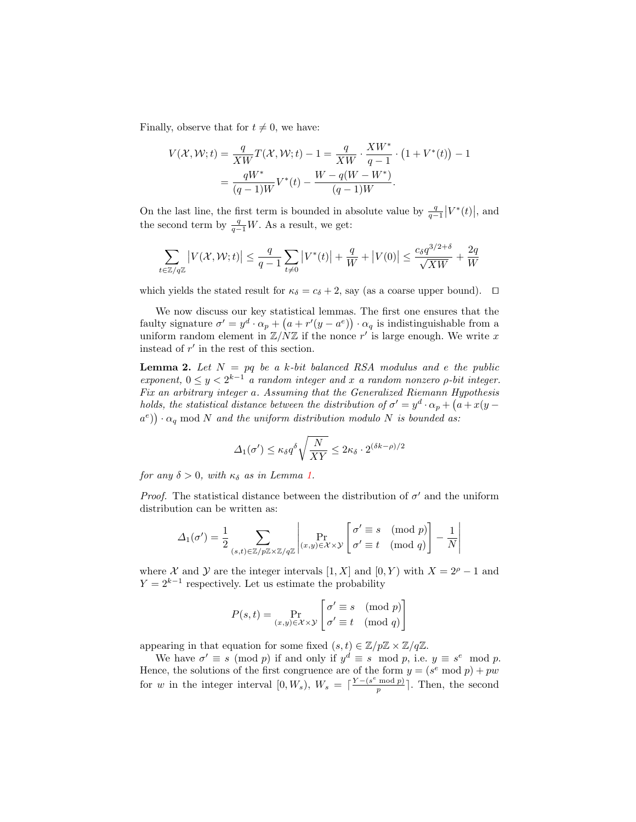Finally, observe that for  $t \neq 0$ , we have:

$$
V(\mathcal{X}, \mathcal{W}; t) = \frac{q}{XW}T(\mathcal{X}, \mathcal{W}; t) - 1 = \frac{q}{XW} \cdot \frac{XW^*}{q - 1} \cdot (1 + V^*(t)) - 1
$$
  
= 
$$
\frac{qW^*}{(q - 1)W}V^*(t) - \frac{W - q(W - W^*)}{(q - 1)W}.
$$

On the last line, the first term is bounded in absolute value by  $\frac{q}{q-1}|V^*(t)|$ , and the second term by  $\frac{q}{q-1}W$ . As a result, we get:

$$
\sum_{t \in \mathbb{Z}/q\mathbb{Z}} |V(\mathcal{X}, \mathcal{W}; t)| \le \frac{q}{q-1} \sum_{t \ne 0} |V^*(t)| + \frac{q}{W} + |V(0)| \le \frac{c_\delta q^{3/2+\delta}}{\sqrt{XW}} + \frac{2q}{W}
$$

which yields the stated result for  $\kappa_{\delta} = c_{\delta} + 2$ , say (as a coarse upper bound).  $\square$ 

We now discuss our key statistical lemmas. The first one ensures that the faulty signature  $\sigma' = y^d \cdot \alpha_p + (a + r'(y - a^e)) \cdot \alpha_q$  is indistinguishable from a uniform random element in  $\mathbb{Z}/N\mathbb{Z}$  if the nonce r' is large enough. We write x instead of  $r'$  in the rest of this section.

**Lemma 2.** Let  $N = pq$  be a k-bit balanced RSA modulus and e the public exponent,  $0 \le y < 2^{k-1}$  a random integer and x a random nonzero  $\rho$ -bit integer. Fix an arbitrary integer a. Assuming that the Generalized Riemann Hypothesis holds, the statistical distance between the distribution of  $\sigma' = y^d \cdot \alpha_p + (a + x(y (a^e)$ )  $\cdot \alpha_q$  mod N and the uniform distribution modulo N is bounded as:

<span id="page-8-0"></span>
$$
\Delta_1(\sigma') \le \kappa_\delta q^\delta \sqrt{\frac{N}{XY}} \le 2\kappa_\delta \cdot 2^{(\delta k - \rho)/2}
$$

for any  $\delta > 0$ , with  $\kappa_{\delta}$  as in Lemma [1.](#page-6-1)

*Proof.* The statistical distance between the distribution of  $\sigma'$  and the uniform distribution can be written as:

$$
\Delta_1(\sigma') = \frac{1}{2} \sum_{(s,t) \in \mathbb{Z}/p\mathbb{Z} \times \mathbb{Z}/q\mathbb{Z}} \left| \Pr_{(x,y) \in \mathcal{X} \times \mathcal{Y}} \left[ \sigma' \equiv s \pmod{p} \right] - \frac{1}{N} \right|
$$

where X and Y are the integer intervals [1, X] and [0, Y) with  $X = 2^{\rho} - 1$  and  $Y = 2^{k-1}$  respectively. Let us estimate the probability

$$
P(s,t) = \Pr_{(x,y)\in\mathcal{X}\times\mathcal{Y}}\left[\begin{matrix} \sigma'\equiv s\pmod{p}\\ \sigma'\equiv t\pmod{q} \end{matrix}\right]
$$

appearing in that equation for some fixed  $(s, t) \in \mathbb{Z}/p\mathbb{Z} \times \mathbb{Z}/q\mathbb{Z}$ .

We have  $\sigma' \equiv s \pmod{p}$  if and only if  $y^d \equiv s \mod p$ , i.e.  $y \equiv s^e \mod p$ . Hence, the solutions of the first congruence are of the form  $y = (s^e \mod p) + pw$ for w in the integer interval  $[0, W_s)$ ,  $W_s = \lceil \frac{Y - (s^e \mod p)}{p} \rceil$  $\frac{\text{mod }p}{p}$ . Then, the second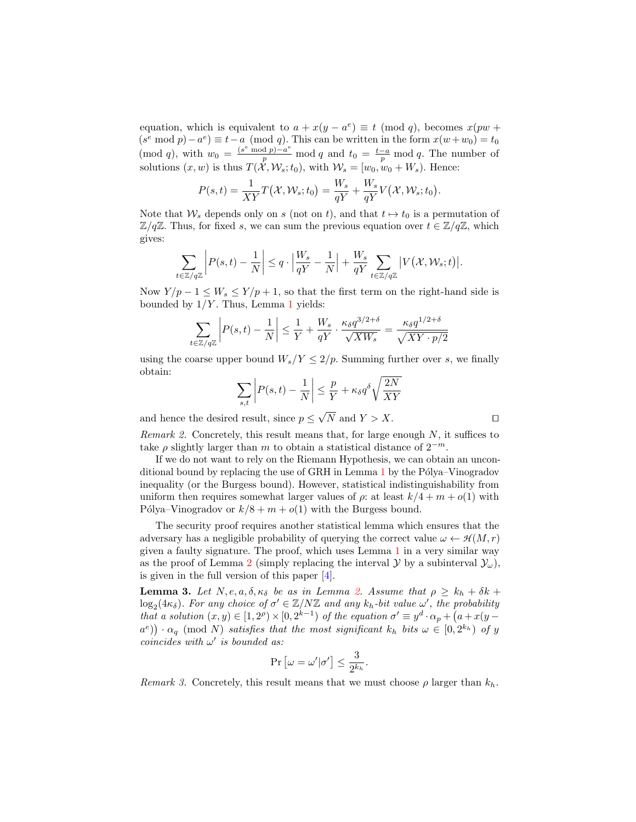equation, which is equivalent to  $a + x(y - a^e) \equiv t \pmod{q}$ , becomes  $x(pw + a^e)$  $(s^e \mod p) - a^e \equiv t - a \pmod{q}$ . This can be written in the form  $x(w + w_0) = t_0$ (mod q), with  $w_0 = \frac{(s^e \mod p) - a^e}{p} \mod q$  and  $t_0 = \frac{t-a}{p} \mod q$ . The number of solutions  $(x, w)$  is thus  $T(\mathcal{X}, \mathcal{W}_s; t_0)$ , with  $\mathcal{W}_s = [w_0, w_0 + W_s)$ . Hence:

$$
P(s,t) = \frac{1}{XY}T(\mathcal{X}, \mathcal{W}_s; t_0) = \frac{W_s}{qY} + \frac{W_s}{qY}V(\mathcal{X}, \mathcal{W}_s; t_0).
$$

Note that  $W_s$  depends only on s (not on t), and that  $t \mapsto t_0$  is a permutation of  $\mathbb{Z}/q\mathbb{Z}$ . Thus, for fixed s, we can sum the previous equation over  $t \in \mathbb{Z}/q\mathbb{Z}$ , which gives:

$$
\sum_{z \in \mathbb{Z}/q\mathbb{Z}} \left| P(s,t) - \frac{1}{N} \right| \leq q \cdot \left| \frac{W_s}{qY} - \frac{1}{N} \right| + \frac{W_s}{qY} \sum_{t \in \mathbb{Z}/q\mathbb{Z}} \left| V(\mathcal{X}, \mathcal{W}_s; t) \right|.
$$

Now  $Y/p - 1 \leq W_s \leq Y/p + 1$ , so that the first term on the right-hand side is bounded by  $1/Y$  $1/Y$ . Thus, Lemma 1 yields:

$$
\sum_{t \in \mathbb{Z}/q\mathbb{Z}} \left| P(s,t) - \frac{1}{N} \right| \leq \frac{1}{Y} + \frac{W_s}{qY} \cdot \frac{\kappa_\delta q^{3/2+\delta}}{\sqrt{XW_s}} = \frac{\kappa_\delta q^{1/2+\delta}}{\sqrt{XY\cdot p/2}}
$$

using the coarse upper bound  $W_s/Y \leq 2/p$ . Summing further over s, we finally obtain:

$$
\sum_{s,t} \left| P(s,t) - \frac{1}{N} \right| \le \frac{p}{Y} + \kappa_{\delta} q^{\delta} \sqrt{\frac{2N}{XY}}
$$

and hence the desired result, since  $p \leq$ N and  $Y > X$ .

 $t$ 

<span id="page-9-0"></span>Remark 2. Concretely, this result means that, for large enough  $N$ , it suffices to take  $\rho$  slightly larger than m to obtain a statistical distance of  $2^{-m}$ .

If we do not want to rely on the Riemann Hypothesis, we can obtain an unconditional bound by replacing the use of GRH in Lemma  $1$  by the Pólya–Vinogradov inequality (or the Burgess bound). However, statistical indistinguishability from uniform then requires somewhat larger values of  $\rho$ : at least  $k/4 + m + o(1)$  with Pólya–Vinogradov or  $k/8 + m + o(1)$  with the Burgess bound.

The security proof requires another statistical lemma which ensures that the adversary has a negligible probability of querying the correct value  $\omega \leftarrow \mathcal{H}(M,r)$ given a faulty signature. The proof, which uses Lemma [1](#page-6-1) in a very similar way as the proof of Lemma [2](#page-8-0) (simply replacing the interval  $\mathcal{Y}$  by a subinterval  $\mathcal{Y}_{\omega}$ ), is given in the full version of this paper [\[4\]](#page-15-18).

**Lemma 3.** Let  $N, e, a, \delta, \kappa_{\delta}$  be as in Lemma [2.](#page-8-0) Assume that  $\rho \geq k_h + \delta k + \delta k$  $\log_2(4\kappa_\delta)$ . For any choice of  $\sigma' \in \mathbb{Z}/N\mathbb{Z}$  and any  $k_h$ -bit value  $\omega'$ , the probability that a solution  $(x, y) \in [1, 2^{\rho}) \times [0, 2^{k-1})$  of the equation  $\sigma' \equiv y^d \cdot \alpha_p + (a + x(y (a^e)$ )  $\cdot$   $\alpha_q$  (mod N) satisfies that the most significant  $k_h$  bits  $\omega \in [0, 2^{k_h})$  of y coincides with  $\omega'$  is bounded as:

<span id="page-9-2"></span>
$$
\Pr\left[\omega = \omega'|\sigma'\right] \le \frac{3}{2^{k_h}}.
$$

<span id="page-9-1"></span>Remark 3. Concretely, this result means that we must choose  $\rho$  larger than  $k_h$ .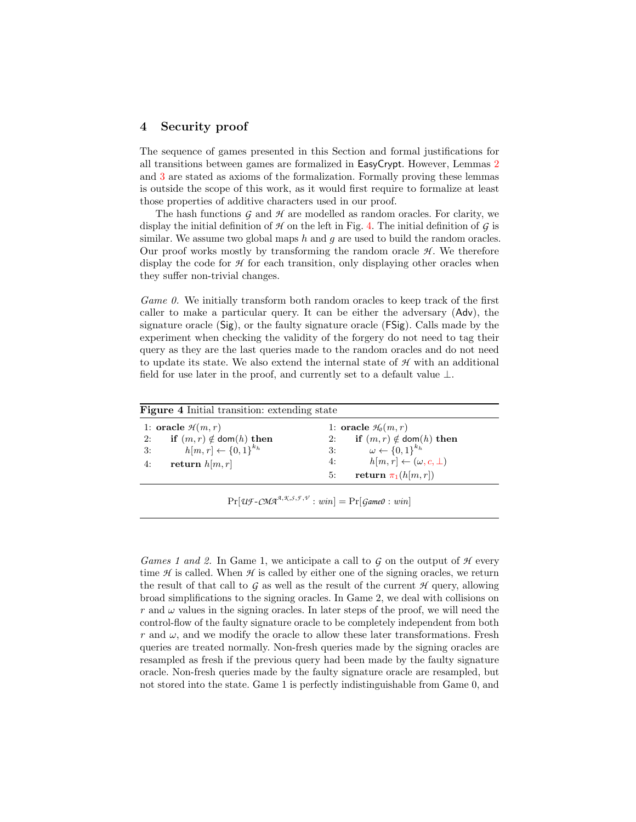### 4 Security proof

The sequence of games presented in this Section and formal justifications for all transitions between games are formalized in EasyCrypt. However, Lemmas [2](#page-8-0) and [3](#page-9-2) are stated as axioms of the formalization. Formally proving these lemmas is outside the scope of this work, as it would first require to formalize at least those properties of additive characters used in our proof.

The hash functions *G* and *H* are modelled as random oracles. For clarity, we display the initial definition of *H* on the left in Fig. [4.](#page-10-0) The initial definition of *G* is similar. We assume two global maps  $h$  and  $g$  are used to build the random oracles. Our proof works mostly by transforming the random oracle  $H$ . We therefore display the code for *H* for each transition, only displaying other oracles when they suffer non-trivial changes.

*Game 0.* We initially transform both random oracles to keep track of the first caller to make a particular query. It can be either the adversary (Adv), the signature oracle (Sig), or the faulty signature oracle (FSig). Calls made by the experiment when checking the validity of the forgery do not need to tag their query as they are the last queries made to the random oracles and do not need to update its state. We also extend the internal state of *H* with an additional field for use later in the proof, and currently set to a default value  $\perp$ .

<span id="page-10-0"></span>

| <b>Figure 4</b> Initial transition: extending state |                                              |  |  |
|-----------------------------------------------------|----------------------------------------------|--|--|
| 1: oracle $\mathcal{H}(m,r)$                        | 1: oracle $H_0(m,r)$                         |  |  |
| if $(m, r) \notin \text{dom}(h)$ then<br>2:         | if $(m, r) \notin \text{dom}(h)$ then<br>2:  |  |  |
| $h[m,r] \leftarrow \{0,1\}^{k_h}$<br>3:             | $\omega \leftarrow \{0,1\}^{k_h}$<br>3:      |  |  |
| return $h[m,r]$<br>4:                               | $h[m,r] \leftarrow (\omega, c, \perp)$<br>4: |  |  |
|                                                     | return $\pi_1(h[m,r])$<br>5:                 |  |  |
|                                                     |                                              |  |  |

 $Pr[U \text{F}-C M A^{A,\mathcal{K},S,\mathcal{F},\mathcal{V}}: win] = Pr[Game 0: win]$ 

Games 1 and 2. In Game 1, we anticipate a call to *G* on the output of *H* every time *H* is called. When *H* is called by either one of the signing oracles, we return the result of that call to *G* as well as the result of the current *H* query, allowing broad simplifications to the signing oracles. In Game 2, we deal with collisions on r and  $\omega$  values in the signing oracles. In later steps of the proof, we will need the control-flow of the faulty signature oracle to be completely independent from both r and  $\omega$ , and we modify the oracle to allow these later transformations. Fresh queries are treated normally. Non-fresh queries made by the signing oracles are resampled as fresh if the previous query had been made by the faulty signature oracle. Non-fresh queries made by the faulty signature oracle are resampled, but not stored into the state. Game 1 is perfectly indistinguishable from Game 0, and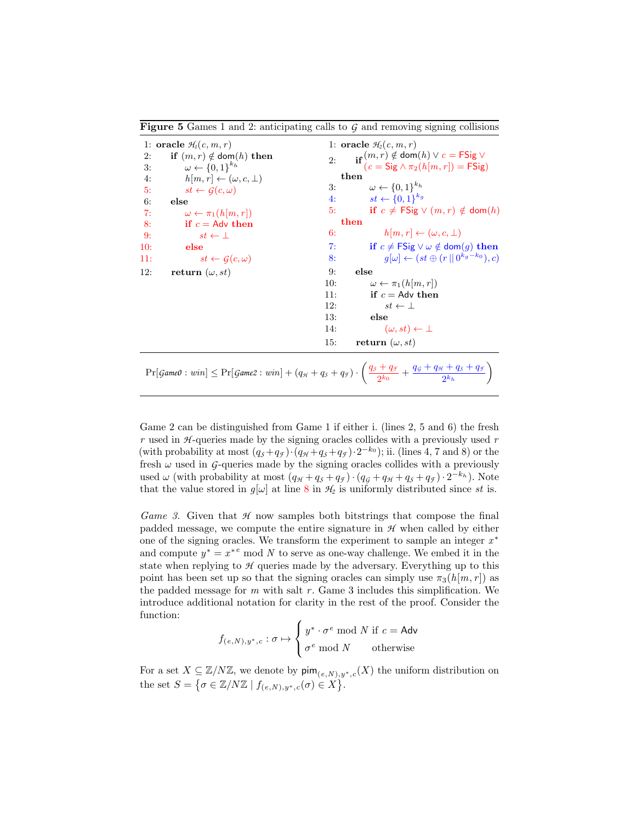<span id="page-11-0"></span>Figure 5 Games 1 and 2: anticipating calls to *G* and removing signing collisions

|          | 1: oracle $\mathcal{H}_1(c, m, r)$                                         |     | 1: oracle $H_2(c, m, r)$                                                                                                                |
|----------|----------------------------------------------------------------------------|-----|-----------------------------------------------------------------------------------------------------------------------------------------|
| 2:<br>3: | if $(m, r) \notin \text{dom}(h)$ then<br>$\omega \leftarrow \{0,1\}^{k_h}$ | 2:  | $\mathbf{r}_\mathbf{if}(m,r) \notin \text{dom}(h) \vee c = \text{FSig} \vee$<br>$(c = \text{Sig } \wedge \pi_2(h[m, r]) = \text{FSig})$ |
| 4:       | $h[m,r] \leftarrow (\omega, c, \perp)$                                     |     | then                                                                                                                                    |
| 5:       | $st \leftarrow G(c, \omega)$                                               | 3:  | $\omega \leftarrow \{0,1\}^{k_h}$                                                                                                       |
| 6:       | else                                                                       | 4:  | $st \leftarrow \{0,1\}^{k_g}$                                                                                                           |
| 7:       | $\omega \leftarrow \pi_1(h[m,r])$                                          | 5:  | if $c \neq \textsf{FSig} \vee (m,r) \notin \textsf{dom}(h)$                                                                             |
| 8:       | if $c =$ Adv then                                                          |     | then                                                                                                                                    |
| 9:       | $st \leftarrow \perp$                                                      | 6:  | $h[m,r] \leftarrow (\omega, c, \perp)$                                                                                                  |
| 10:      | else                                                                       | 7:  | if $c \neq$ FSig $\vee \omega \notin$ dom $(g)$ then                                                                                    |
| 11:      | $st \leftarrow G(c, \omega)$                                               | 8:  | $q[\omega] \leftarrow (st \oplus (r    0^{k_g - k_0}), c)$                                                                              |
| 12:      | return $(\omega, st)$                                                      | 9:  | else                                                                                                                                    |
|          |                                                                            | 10: | $\omega \leftarrow \pi_1(h m, r )$                                                                                                      |
|          |                                                                            | 11: | if $c =$ Adv then                                                                                                                       |
|          |                                                                            | 12: | $st \leftarrow \perp$                                                                                                                   |
|          |                                                                            | 13: | else                                                                                                                                    |
|          |                                                                            | 14: | $(\omega, st) \leftarrow \perp$                                                                                                         |
|          |                                                                            | 15: | return $(\omega, st)$                                                                                                                   |
|          |                                                                            |     |                                                                                                                                         |

 $\Pr[\text{Game 0}: \text{win}] \leq \Pr[\text{Game 2}: \text{win}] + (q_{\mathcal{H}} + q_{\mathcal{S}} + q_{\mathcal{F}}) \cdot \left(\frac{q_{\mathcal{S}} + q_{\mathcal{F}}}{q_{\mathcal{S}}}\right)$  $\frac{q_g}{2^{k_0}} + \frac{q_g + q_{\mathcal{H}} + q_{\mathcal{S}} + q_{\mathcal{F}}}{2^{k_h}}$  $2^{k_h}$ λ

Game 2 can be distinguished from Game 1 if either i. (lines 2, 5 and 6) the fresh  $r$  used in  $H$ -queries made by the signing oracles collides with a previously used  $r$ (with probability at most  $(q_s+q_f) \cdot (q_{\mathcal{H}}+q_s+q_{\mathcal{F}}) \cdot 2^{-k_0}$ ); ii. (lines 4, 7 and 8) or the fresh  $\omega$  used in *G*-queries made by the signing oracles collides with a previously used  $\omega$  (with probability at most  $(q_H + q_S + q_\mathcal{F}) \cdot (q_\mathcal{G} + q_\mathcal{H} + q_\mathcal{S} + q_\mathcal{F}) \cdot 2^{-k_h}$ ). Note that the value stored in  $g[\omega]$  at line [8](#page-11-0) in  $\mathcal{H}_2$  is uniformly distributed since st is.

Game 3. Given that  $H$  now samples both bitstrings that compose the final padded message, we compute the entire signature in *H* when called by either one of the signing oracles. We transform the experiment to sample an integer  $x^*$ and compute  $y^* = x^{*e}$  mod N to serve as one-way challenge. We embed it in the state when replying to *H* queries made by the adversary. Everything up to this point has been set up so that the signing oracles can simply use  $\pi_3(h[m, r])$  as the padded message for  $m$  with salt  $r$ . Game 3 includes this simplification. We introduce additional notation for clarity in the rest of the proof. Consider the function:

$$
f_{(e,N),y^*,c} : \sigma \mapsto \begin{cases} y^* \cdot \sigma^e \bmod N \text{ if } c = \text{Adv} \\ \sigma^e \bmod N \text{ otherwise} \end{cases}
$$

For a set  $X \subseteq \mathbb{Z}/N\mathbb{Z}$ , we denote by  $\mathsf{pim}_{(e,N),y^*,c}(X)$  the uniform distribution on the set  $S = \{ \sigma \in \mathbb{Z}/N\mathbb{Z} \mid f_{(e,N),y^*,c}(\sigma) \in X \}.$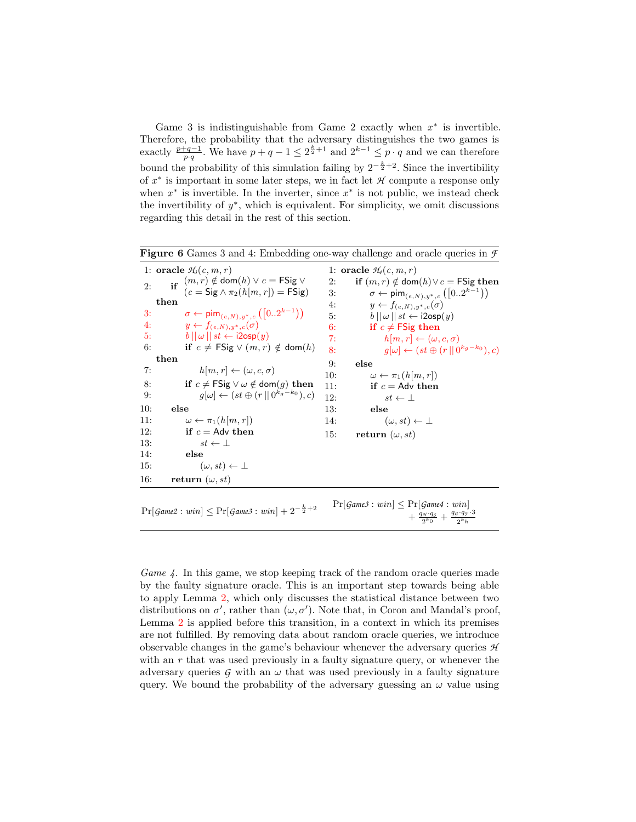Game 3 is indistinguishable from Game 2 exactly when  $x^*$  is invertible. Therefore, the probability that the adversary distinguishes the two games is exactly  $\frac{p+q-1}{p\cdot q}$ . We have  $p+q-1\leq 2^{\frac{k}{2}+1}$  and  $2^{k-1}\leq p\cdot q$  and we can therefore bound the probability of this simulation failing by  $2^{-\frac{k}{2}+2}$ . Since the invertibility of x ∗ is important in some later steps, we in fact let *H* compute a response only when  $x^*$  is invertible. In the inverter, since  $x^*$  is not public, we instead check the invertibility of  $y^*$ , which is equivalent. For simplicity, we omit discussions regarding this detail in the rest of this section.

```
Figure 6 Games 3 and 4: Embedding one-way challenge and oracle queries in F
 1: oracle H_3(c, m, r)2: if (m, r) \notin \text{dom}(h) \vee c = \text{FSig} \vee(c = \text{Sig} \wedge \pi_2(h[m, r]) = \text{FSig})then
 3: \sigma \leftarrow \textsf{pim}_{(e,N),y^*,c}([0..2^{k-1}))4: y \leftarrow f_{(e,N),y^*,c}(\sigma)5: b \|\omega\| st \leftarrow i2osp(y)6: if c \neq \text{FSig} \vee (m, r) \notin \text{dom}(h)then
 7: h[m, r] \leftarrow (\omega, c, \sigma)8: if c \neq \textsf{FSig} \vee \omega \notin \textsf{dom}(q) then
 9: g[\omega] \leftarrow (st \oplus (r || 0^{k_g - k_0}), c)10: else
11: \omega \leftarrow \pi_1(h[m, r])12: if c = Adv then
13: st \leftarrow \perp14: else
15: (\omega, st) \leftarrow \perp16: return (\omega, st)1: oracle H_4(c, m, r)2: if (m, r) \notin dom(h) \vee c = FS ig then
                                                             3: \sigma \leftarrow \text{pim}_{(e,N),y^*,c}([0..2^{k-1}))4: y \leftarrow f_{(e,N),y^*,c}(\sigma)5: b \, ||\, \omega \, || \, st \leftarrow \mathsf{i2osp}(y)6: if c \neq FSig then
                                                             7: h[m, r] \leftarrow (\omega, c, \sigma)8: g[\omega] \leftarrow (st \oplus (r || 0^{k_g - k_0}), c)9: else
                                                            10: \omega \leftarrow \pi_1(h[m, r])11: if c = Adv then
                                                            12: st \leftarrow \perp13: else
                                                           14: (\omega, st) \leftarrow \perp15: return (\omega, st)Pr[Game2: win] \leq Pr[Game3: win] + 2^{-\frac{k}{2}+2}\Pr[\text{Game3}: \text{win}] \leq \Pr[\text{Game4}: \text{win}] + \frac{q_{\text{M}} \cdot q_{\text{S}}}{2^{k_0}} + \frac{q_{\text{G}} \cdot q_{\text{S}} \cdot q_{\text{S}}}{2^{k_h}}
```
*Game 4.* In this game, we stop keeping track of the random oracle queries made by the faulty signature oracle. This is an important step towards being able to apply Lemma [2,](#page-8-0) which only discusses the statistical distance between two distributions on  $\sigma'$ , rather than  $(\omega, \sigma')$ . Note that, in Coron and Mandal's proof, Lemma [2](#page-8-0) is applied before this transition, in a context in which its premises are not fulfilled. By removing data about random oracle queries, we introduce observable changes in the game's behaviour whenever the adversary queries *H* with an  $r$  that was used previously in a faulty signature query, or whenever the adversary queries  $G$  with an  $\omega$  that was used previously in a faulty signature query. We bound the probability of the adversary guessing an  $\omega$  value using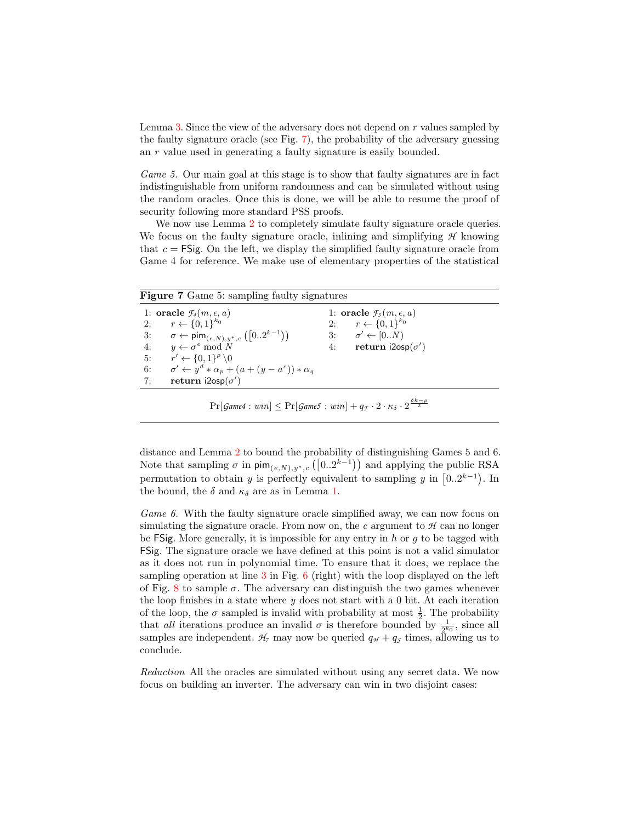Lemma [3.](#page-9-2) Since the view of the adversary does not depend on r values sampled by the faulty signature oracle (see Fig. [7\)](#page-13-0), the probability of the adversary guessing an r value used in generating a faulty signature is easily bounded.

Game 5. Our main goal at this stage is to show that faulty signatures are in fact indistinguishable from uniform randomness and can be simulated without using the random oracles. Once this is done, we will be able to resume the proof of security following more standard PSS proofs.

We now use Lemma [2](#page-8-0) to completely simulate faulty signature oracle queries. We focus on the faulty signature oracle, inlining and simplifying *H* knowing that  $c = FS$  ig. On the left, we display the simplified faulty signature oracle from Game 4 for reference. We make use of elementary properties of the statistical

<span id="page-13-0"></span>

|  |  |  | <b>Figure 7</b> Game 5: sampling faulty signatures |
|--|--|--|----------------------------------------------------|
|  |  |  |                                                    |

| 1: oracle $\mathcal{F}_4(m,\epsilon,a)$                             | 1: oracle $f_5(m, \epsilon, a)$ |  |
|---------------------------------------------------------------------|---------------------------------|--|
| 2: $r \leftarrow \{0,1\}^{k_0}$                                     | 2: $r \leftarrow \{0,1\}^{k_0}$ |  |
| 3: $\sigma \leftarrow \text{pim}_{(e,N),y^*,c}([02^{k-1}))$         | 3: $\sigma' \leftarrow [0N)$    |  |
| 4: $y \leftarrow \sigma^e \mod N$                                   | 4: return $i2osp(\sigma')$      |  |
| 5: $r' \leftarrow \{0,1\}^{\rho} \setminus 0$                       |                                 |  |
| 6: $\sigma' \leftarrow y^d * \alpha_p + (a + (y - a^e)) * \alpha_a$ |                                 |  |
| 7: return $i2osp(\sigma')$                                          |                                 |  |
|                                                                     |                                 |  |

 $\Pr[\textit{Game4}: \textit{win}] \leq \Pr[\textit{Game5}: \textit{win}] + q_{\mathcal{F}} \cdot 2 \cdot \kappa_{\delta} \cdot 2^{\frac{\delta k - \rho}{2}}$ 

distance and Lemma [2](#page-8-0) to bound the probability of distinguishing Games 5 and 6. Note that sampling  $\sigma$  in  $\text{pim}_{(e,N),y^*,c}([0..2^{k-1}))$  and applying the public RSA permutation to obtain y is perfectly equivalent to sampling y in  $[0..2^{k-1})$ . In the bound, the  $\delta$  and  $\kappa_{\delta}$  are as in Lemma [1.](#page-6-1)

Game 6. With the faulty signature oracle simplified away, we can now focus on simulating the signature oracle. From now on, the  $c$  argument to  $H$  can no longer be  $\mathsf{FSig.}$  More generally, it is impossible for any entry in h or q to be tagged with FSig. The signature oracle we have defined at this point is not a valid simulator as it does not run in polynomial time. To ensure that it does, we replace the sampling operation at line [3](#page-12-0) in Fig. [6](#page-12-0) (right) with the loop displayed on the left of Fig. [8](#page-14-3) to sample  $\sigma$ . The adversary can distinguish the two games whenever the loop finishes in a state where  $y$  does not start with a 0 bit. At each iteration of the loop, the  $\sigma$  sampled is invalid with probability at most  $\frac{1}{2}$ . The probability that all iterations produce an invalid  $\sigma$  is therefore bounded by  $\frac{1}{2^{k_0}}$ , since all samples are independent.  $H_7$  may now be queried  $q_H + q_S$  times, allowing us to conclude.

Reduction All the oracles are simulated without using any secret data. We now focus on building an inverter. The adversary can win in two disjoint cases: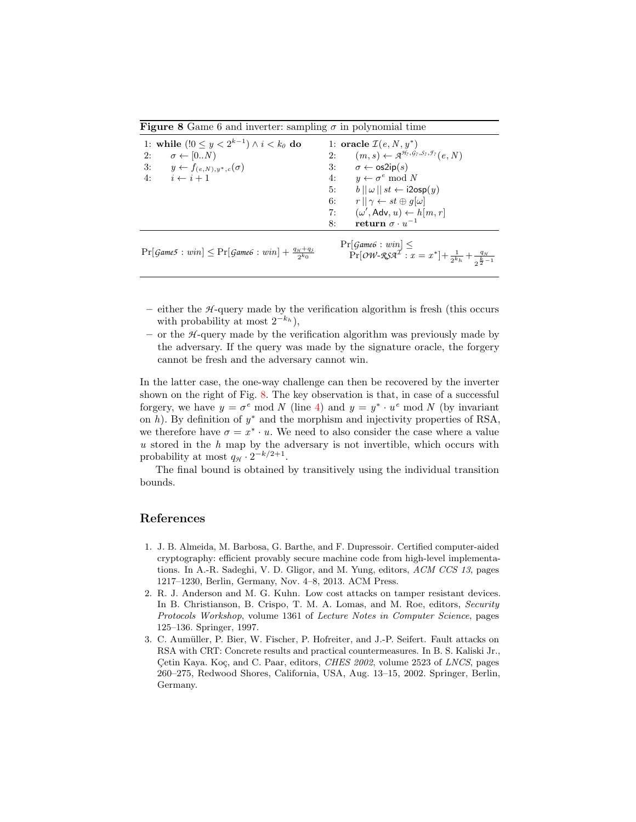<span id="page-14-3"></span>**Figure 8** Game 6 and inverter: sampling  $\sigma$  in polynomial time

| 1: while $(0 \le y < 2^{k-1}) \wedge i < k_0$ do                                                                       | 1: oracle $\mathcal{I}(e, N, y^*)$                                                                                                                      |
|------------------------------------------------------------------------------------------------------------------------|---------------------------------------------------------------------------------------------------------------------------------------------------------|
| $\sigma \leftarrow [0N)$<br>2:                                                                                         | $(m, s) \leftarrow \mathcal{A}^{\mathcal{H}_7, \mathcal{G}_7, \mathcal{S}_7, \mathcal{F}_7}(e, N)$<br>2:                                                |
| 3:<br>$y \leftarrow f_{(e,N),y^*,c}(\sigma)$                                                                           | $\sigma \leftarrow \sigma(2ip(s))$<br>3:                                                                                                                |
| 4:<br>$i \leftarrow i+1$                                                                                               | $y \leftarrow \sigma^e \mod N$<br>4:                                                                                                                    |
|                                                                                                                        | $b \parallel \omega \parallel st \leftarrow i2$ osp $(y)$<br>5:                                                                                         |
|                                                                                                                        | $r  \gamma \leftarrow st \oplus g[\omega]$<br>6:                                                                                                        |
|                                                                                                                        | $(\omega', \mathsf{Adv}, u) \leftarrow h[m, r]$<br>7:                                                                                                   |
|                                                                                                                        | return $\sigma \cdot u^{-1}$<br>8:                                                                                                                      |
| $\Pr[\text{Game5}: \text{win}] \leq \Pr[\text{Game6}: \text{win}] + \frac{q_{\mathcal{H}} + q_{\mathcal{S}}}{2^{k_0}}$ | $\Pr[\text{Game6}: \text{win}] \leq$<br>$\Pr[\mathcal{OW}\text{-}\mathcal{RSA}^{\mathcal{I}}: x = x^*]+\frac{1}{2^{k}h}+\frac{q_{\mathcal{H}}}{2^{k}h}$ |

- $-$  either the  $H$ -query made by the verification algorithm is fresh (this occurs with probability at most  $2^{-k_h}$ ),
- $-$  or the  $H$ -query made by the verification algorithm was previously made by the adversary. If the query was made by the signature oracle, the forgery cannot be fresh and the adversary cannot win.

In the latter case, the one-way challenge can then be recovered by the inverter shown on the right of Fig. [8.](#page-14-3) The key observation is that, in case of a successful forgery, we have  $y = \sigma^e \mod N$  (line [4\)](#page-14-3) and  $y = y^* \cdot u^e \mod N$  (by invariant on  $h$ ). By definition of  $y^*$  and the morphism and injectivity properties of RSA, we therefore have  $\sigma = x^* \cdot u$ . We need to also consider the case where a value  $u$  stored in the  $h$  map by the adversary is not invertible, which occurs with probability at most  $q_{\mathcal{H}} \cdot 2^{-k/2+1}$ .

The final bound is obtained by transitively using the individual transition bounds.

## References

- <span id="page-14-2"></span>1. J. B. Almeida, M. Barbosa, G. Barthe, and F. Dupressoir. Certified computer-aided cryptography: efficient provably secure machine code from high-level implementations. In A.-R. Sadeghi, V. D. Gligor, and M. Yung, editors, ACM CCS 13, pages 1217–1230, Berlin, Germany, Nov. 4–8, 2013. ACM Press.
- <span id="page-14-1"></span>2. R. J. Anderson and M. G. Kuhn. Low cost attacks on tamper resistant devices. In B. Christianson, B. Crispo, T. M. A. Lomas, and M. Roe, editors, Security Protocols Workshop, volume 1361 of Lecture Notes in Computer Science, pages 125–136. Springer, 1997.
- <span id="page-14-0"></span>3. C. Aumüller, P. Bier, W. Fischer, P. Hofreiter, and J.-P. Seifert. Fault attacks on RSA with CRT: Concrete results and practical countermeasures. In B. S. Kaliski Jr., Çetin Kaya. Koç, and C. Paar, editors, *CHES 2002*, volume 2523 of *LNCS*, pages 260–275, Redwood Shores, California, USA, Aug. 13–15, 2002. Springer, Berlin, Germany.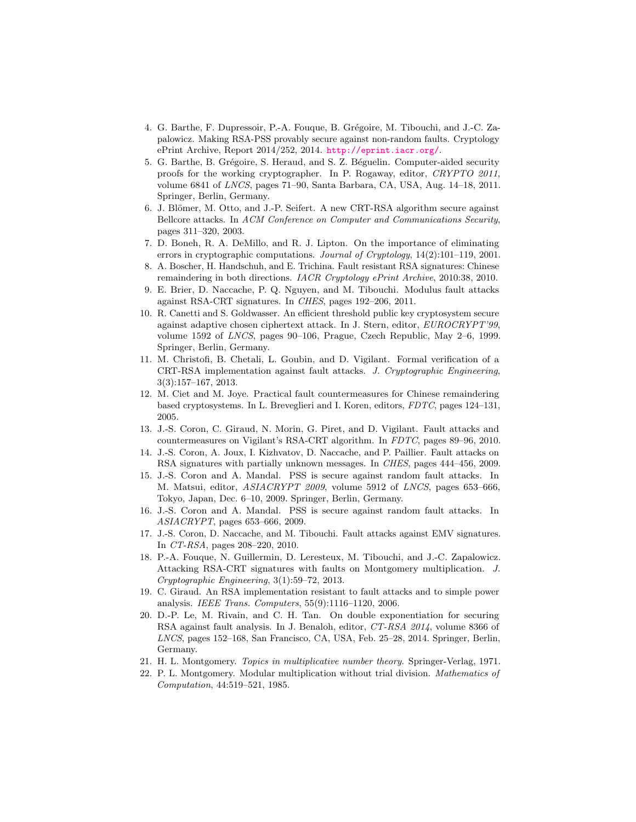- <span id="page-15-18"></span>4. G. Barthe, F. Dupressoir, P.-A. Fouque, B. Grégoire, M. Tibouchi, and J.-C. Zapalowicz. Making RSA-PSS provably secure against non-random faults. Cryptology ePrint Archive, Report 2014/252, 2014. <http://eprint.iacr.org/>.
- <span id="page-15-16"></span>5. G. Barthe, B. Grégoire, S. Heraud, and S. Z. Béguelin. Computer-aided security proofs for the working cryptographer. In P. Rogaway, editor, CRYPTO 2011, volume 6841 of LNCS, pages 71–90, Santa Barbara, CA, USA, Aug. 14–18, 2011. Springer, Berlin, Germany.
- <span id="page-15-2"></span>6. J. Blömer, M. Otto, and J.-P. Seifert. A new CRT-RSA algorithm secure against Bellcore attacks. In ACM Conference on Computer and Communications Security, pages 311–320, 2003.
- <span id="page-15-0"></span>7. D. Boneh, R. A. DeMillo, and R. J. Lipton. On the importance of eliminating errors in cryptographic computations. Journal of Cryptology, 14(2):101–119, 2001.
- <span id="page-15-13"></span>8. A. Boscher, H. Handschuh, and E. Trichina. Fault resistant RSA signatures: Chinese remaindering in both directions. IACR Cryptology ePrint Archive, 2010:38, 2010.
- <span id="page-15-1"></span>9. E. Brier, D. Naccache, P. Q. Nguyen, and M. Tibouchi. Modulus fault attacks against RSA-CRT signatures. In CHES, pages 192–206, 2011.
- <span id="page-15-12"></span>10. R. Canetti and S. Goldwasser. An efficient threshold public key cryptosystem secure against adaptive chosen ciphertext attack. In J. Stern, editor, EUROCRYPT'99, volume 1592 of LNCS, pages 90–106, Prague, Czech Republic, May 2–6, 1999. Springer, Berlin, Germany.
- <span id="page-15-15"></span>11. M. Christofi, B. Chetali, L. Goubin, and D. Vigilant. Formal verification of a CRT-RSA implementation against fault attacks. J. Cryptographic Engineering, 3(3):157–167, 2013.
- <span id="page-15-3"></span>12. M. Ciet and M. Joye. Practical fault countermeasures for Chinese remaindering based cryptosystems. In L. Breveglieri and I. Koren, editors, FDTC, pages 124–131, 2005.
- <span id="page-15-4"></span>13. J.-S. Coron, C. Giraud, N. Morin, G. Piret, and D. Vigilant. Fault attacks and countermeasures on Vigilant's RSA-CRT algorithm. In FDTC, pages 89–96, 2010.
- <span id="page-15-7"></span>14. J.-S. Coron, A. Joux, I. Kizhvatov, D. Naccache, and P. Paillier. Fault attacks on RSA signatures with partially unknown messages. In CHES, pages 444–456, 2009.
- <span id="page-15-9"></span>15. J.-S. Coron and A. Mandal. PSS is secure against random fault attacks. In M. Matsui, editor, ASIACRYPT 2009, volume 5912 of LNCS, pages 653–666, Tokyo, Japan, Dec. 6–10, 2009. Springer, Berlin, Germany.
- <span id="page-15-14"></span>16. J.-S. Coron and A. Mandal. PSS is secure against random fault attacks. In ASIACRYPT, pages 653–666, 2009.
- <span id="page-15-8"></span>17. J.-S. Coron, D. Naccache, and M. Tibouchi. Fault attacks against EMV signatures. In CT-RSA, pages 208–220, 2010.
- <span id="page-15-10"></span>18. P.-A. Fouque, N. Guillermin, D. Leresteux, M. Tibouchi, and J.-C. Zapalowicz. Attacking RSA-CRT signatures with faults on Montgomery multiplication. J. Cryptographic Engineering, 3(1):59–72, 2013.
- <span id="page-15-5"></span>19. C. Giraud. An RSA implementation resistant to fault attacks and to simple power analysis. IEEE Trans. Computers, 55(9):1116–1120, 2006.
- <span id="page-15-6"></span>20. D.-P. Le, M. Rivain, and C. H. Tan. On double exponentiation for securing RSA against fault analysis. In J. Benaloh, editor, CT-RSA 2014, volume 8366 of LNCS, pages 152–168, San Francisco, CA, USA, Feb. 25–28, 2014. Springer, Berlin, Germany.
- <span id="page-15-17"></span>21. H. L. Montgomery. Topics in multiplicative number theory. Springer-Verlag, 1971.
- <span id="page-15-11"></span>22. P. L. Montgomery. Modular multiplication without trial division. Mathematics of Computation, 44:519–521, 1985.